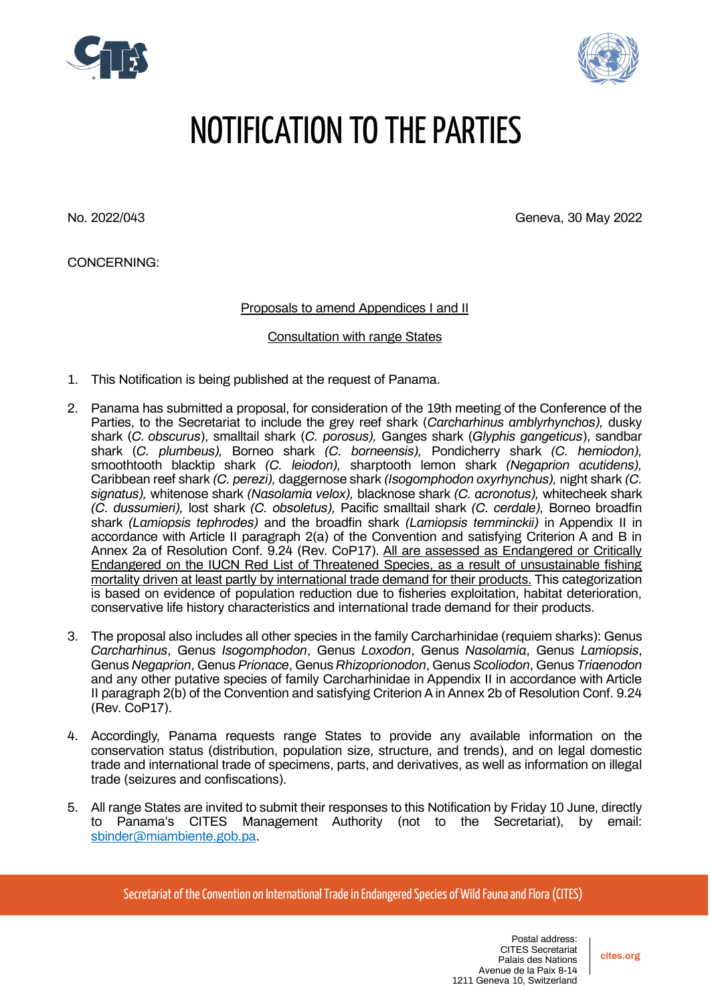



## NOTIFICATION TO THE PARTIES

No. 2022/043 Geneva, 30 May 2022

CONCERNING:

Proposals to amend Appendices I and II

Consultation with range States

- 1. This Notification is being published at the request of Panama.
- 2. Panama has submitted a proposal, for consideration of the 19th meeting of the Conference of the Parties, to the Secretariat to include the grey reef shark (*Carcharhinus amblyrhynchos),* dusky shark (*C. obscurus*), smalltail shark (*C. porosus),* Ganges shark (*Glyphis gangeticus*), sandbar shark (*C. plumbeus),* Borneo shark *(C. borneensis),* Pondicherry shark *(C. hemiodon),*  smoothtooth blacktip shark *(C. leiodon),* sharptooth lemon shark *(Negaprion acutidens),*  Caribbean reef shark *(C. perezi),* daggernose shark *(Isogomphodon oxyrhynchus),* night shark *(C. signatus),* whitenose shark *(Nasolamia velox),* blacknose shark *(C. acronotus),* whitecheek shark *(C. dussumieri),* lost shark *(C. obsoletus),* Pacific smalltail shark *(C. cerdale),* Borneo broadfin shark *(Lamiopsis tephrodes)* and the broadfin shark *(Lamiopsis temminckii)* in Appendix II in accordance with Article II paragraph 2(a) of the Convention and satisfying Criterion A and B in Annex 2a of Resolution Conf. 9.24 (Rev. CoP17). All are assessed as Endangered or Critically Endangered on the IUCN Red List of Threatened Species, as a result of unsustainable fishing mortality driven at least partly by international trade demand for their products. This categorization is based on evidence of population reduction due to fisheries exploitation, habitat deterioration, conservative life history characteristics and international trade demand for their products.
- 3. The proposal also includes all other species in the family Carcharhinidae (requiem sharks): Genus *Carcharhinus*, Genus *Isogomphodon*, Genus *Loxodon*, Genus *Nasolamia*, Genus *Lamiopsis*, Genus *Negaprion*, Genus *Prionace*, Genus *Rhizoprionodon*, Genus *Scoliodon*, Genus *Triaenodon* and any other putative species of family Carcharhinidae in Appendix II in accordance with Article II paragraph 2(b) of the Convention and satisfying Criterion A in Annex 2b of Resolution Conf. 9.24 (Rev. CoP17).
- 4. Accordingly, Panama requests range States to provide any available information on the conservation status (distribution, population size, structure, and trends), and on legal domestic trade and international trade of specimens, parts, and derivatives, as well as information on illegal trade (seizures and confiscations).
- 5. All range States are invited to submit their responses to this Notification by Friday 10 June, directly to Panama's CITES Management Authority (not to the Secretariat), by email: [sbinder@miambiente.gob.pa.](mailto:sbinder@miambiente.gob.pa)

Secretariat of the Convention on International Trade in Endangered Species of Wild Fauna and Flora (CITES)

**cites.org**